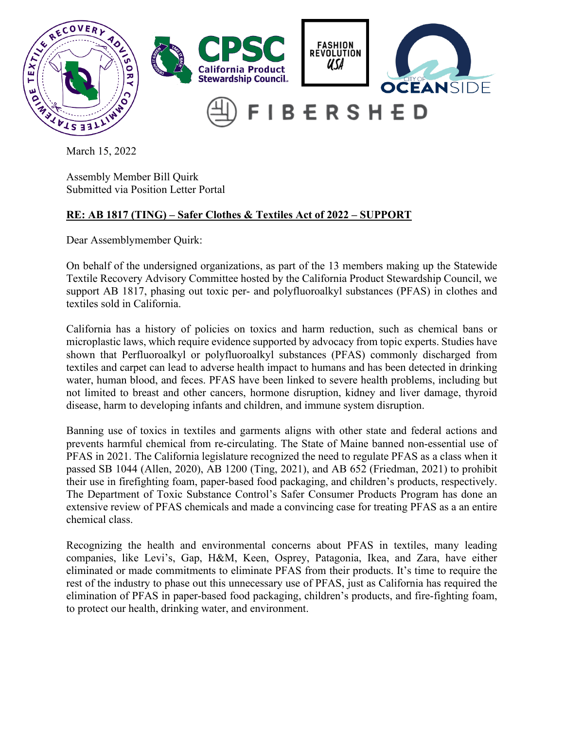

March 15, 2022

Assembly Member Bill Quirk Submitted via Position Letter Portal

## **RE: AB 1817 (TING) – Safer Clothes & Textiles Act of 2022 – SUPPORT**

Dear Assemblymember Quirk:

On behalf of the undersigned organizations, as part of the 13 members making up the Statewide Textile Recovery Advisory Committee hosted by the California Product Stewardship Council, we support AB 1817, phasing out toxic per- and polyfluoroalkyl substances (PFAS) in clothes and textiles sold in California.

California has a history of policies on toxics and harm reduction, such as chemical bans or microplastic laws, which require evidence supported by advocacy from topic experts. Studies have shown that Perfluoroalkyl or polyfluoroalkyl substances (PFAS) commonly discharged from textiles and carpet can lead to adverse health impact to humans and has been detected in drinking water, human blood, and feces. PFAS have been linked to severe health problems, including but not limited to breast and other cancers, hormone disruption, kidney and liver damage, thyroid disease, harm to developing infants and children, and immune system disruption.

Banning use of toxics in textiles and garments aligns with other state and federal actions and prevents harmful chemical from re-circulating. The State of Maine banned non-essential use of PFAS in 2021. The California legislature recognized the need to regulate PFAS as a class when it passed SB 1044 (Allen, 2020), AB 1200 (Ting, 2021), and AB 652 (Friedman, 2021) to prohibit their use in firefighting foam, paper-based food packaging, and children's products, respectively. The Department of Toxic Substance Control's Safer Consumer Products Program has done an extensive review of PFAS chemicals and made a convincing case for treating PFAS as a an entire chemical class.

Recognizing the health and environmental concerns about PFAS in textiles, many leading companies, like Levi's, Gap, H&M, Keen, Osprey, Patagonia, Ikea, and Zara, have either eliminated or made commitments to eliminate PFAS from their products. It's time to require the rest of the industry to phase out this unnecessary use of PFAS, just as California has required the elimination of PFAS in paper-based food packaging, children's products, and fire-fighting foam, to protect our health, drinking water, and environment.